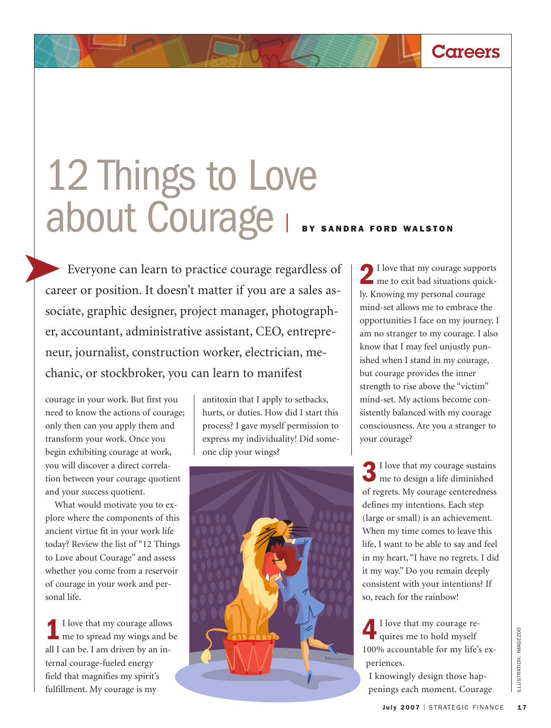## 12 Things to Love about Courage <sup>|</sup> **BY SANDRA FORD WALSTON**

Everyone can learn to practice courage regardless of career or position. It doesn't matter if you are a sales associate, graphic designer, project manager, photographer, accountant, administrative assistant, CEO, entrepreneur, journalist, construction worker, electrician, mechanic, or stockbroker, you can learn to manifest

courage in your work. But first you need to know the actions of courage; only then can you apply them and transform your work. Once you begin exhibiting courage at work, you will discover a direct correlation between your courage quotient and your success quotient.

What would motivate you to explore where the components of this ancient virtue fit in your work life today? Review the list of "12 Things to Love about Courage" and assess whether you come from a reservoir of courage in your work and personal life.

**1**I love that my courage allows me to spread my wings and be all I can be. I am driven by an internal courage-fueled energy field that magnifies my spirit's fulfillment. My courage is my

antitoxin that I apply to setbacks, hurts, or duties. How did I start this process? I gave myself permission to express my individuality! Did someone clip your wings?



**2**I love that my courage supports me to exit bad situations quickly. Knowing my personal courage mind-set allows me to embrace the opportunities I face on my journey. I am no stranger to my courage. I also know that I may feel unjustly punished when I stand in my courage, but courage provides the inner strength to rise above the "victim" mind-set. My actions become consistently balanced with my courage consciousness. Are you a stranger to your courage?

**Careers**

**3**I love that my courage sustains me to design a life diminished of regrets. My courage centeredness defines my intentions. Each step (large or small) is an achievement. When my time comes to leave this life, I want to be able to say and feel in my heart, "I have no regrets. I did it my way." Do you remain deeply consistent with your intentions? If so, reach for the rainbow!

**4**I love that my courage re-quires me to hold myself 100% accountable for my life's experiences.

I knowingly design those happenings each moment. Courage